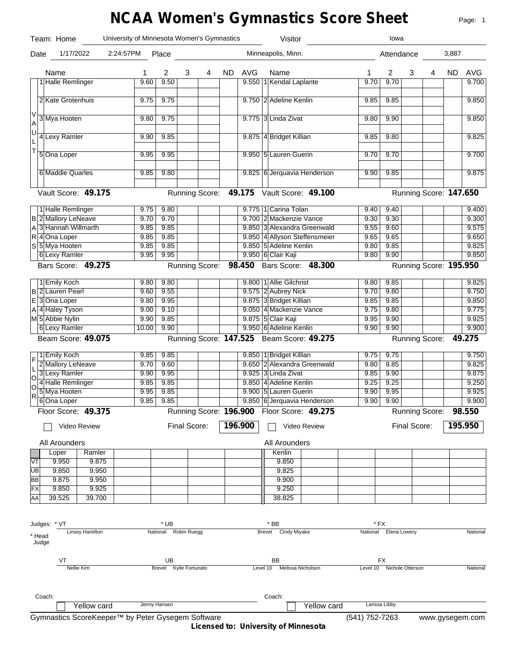# **NCAA Women's Gymnastics Score Sheet**

Page: 1

|                         | Team: Home                 |                                                   | University of Minnesota Women's Gymnastics |                        |              |   |           |            | Visitor                 |                                            |                | lowa                      |              |                        |       |                 |
|-------------------------|----------------------------|---------------------------------------------------|--------------------------------------------|------------------------|--------------|---|-----------|------------|-------------------------|--------------------------------------------|----------------|---------------------------|--------------|------------------------|-------|-----------------|
| Date                    | 1/17/2022                  |                                                   | 2:24:57PM                                  | Place                  |              |   |           |            | Minneapolis, Minn.      |                                            |                | Attendance                |              |                        | 3,887 |                 |
|                         | Name                       |                                                   | 1                                          | 2                      | 3            | 4 | <b>ND</b> | <b>AVG</b> | Name                    |                                            | 1              | 2                         | 3            | 4                      | ND.   | <b>AVG</b>      |
|                         | 1 Halle Remlinger          |                                                   | 9.60                                       | 9.50                   |              |   |           |            | 9.550 1 Kendal Laplante |                                            | 9.70           | 9.70                      |              |                        |       | 9.700           |
|                         | 2 Kate Grotenhuis          |                                                   | 9.75                                       | 9.75                   |              |   |           |            | 9.750 2 Adeline Kenlin  |                                            | 9.85           | 9.85                      |              |                        |       | 9.850           |
| V                       |                            |                                                   |                                            |                        |              |   |           |            |                         |                                            |                |                           |              |                        |       |                 |
| A                       | 3 Mya Hooten               |                                                   | 9.80                                       | 9.75                   |              |   |           |            | 9.775 3 Linda Zivat     |                                            | 9.80           | 9.90                      |              |                        |       | 9.850           |
| U<br>L                  | 4 Lexy Ramler              |                                                   | 9.90                                       | 9.85                   |              |   |           |            | 9.875 4 Bridget Killian |                                            | 9.85           | 9.80                      |              |                        |       | 9.825           |
| T                       | 5 Ona Loper                |                                                   | 9.95                                       | 9.95                   |              |   |           |            | 9.950 5 Lauren Guerin   |                                            | 9.70           | 9.70                      |              |                        |       | 9.700           |
|                         | 6 Maddie Quarles           |                                                   | 9.85                                       | 9.80                   |              |   |           |            |                         | 9.825 6 Jerquavia Henderson                | 9.90           | 9.85                      |              |                        |       | 9.875           |
|                         | Vault Score: 49.175        |                                                   |                                            |                        |              |   |           |            |                         | Running Score: 49.175 Vault Score: 49.100  |                |                           |              | Running Score: 147.650 |       |                 |
|                         | 1 Halle Remlinger          |                                                   | 9.75                                       | 9.80                   |              |   |           |            | 9.775 1 Carina Tolan    |                                            | 9.40           | 9.40                      |              |                        |       | 9.400           |
|                         | <b>B</b> 2 Mallory LeNeave |                                                   | 9.70                                       | 9.70                   |              |   |           |            | 9.700 2 Mackenzie Vance |                                            | 9.30           | 9.30                      |              |                        |       | 9.300           |
|                         | A 3 Hannah Willmarth       |                                                   | 9.85                                       | 9.85                   |              |   |           |            |                         | 9.850 3 Alexandra Greenwald                | 9.55           | 9.60                      |              |                        |       | 9.575           |
|                         | $R$ 4 Ona Loper            |                                                   | 9.85                                       | 9.85                   |              |   |           |            |                         | 9.850 4 Allyson Steffensmeier              | 9.65           | 9.65                      |              |                        |       | 9.650           |
|                         | S 5 Mya Hooten             |                                                   | 9.85                                       | 9.85                   |              |   |           |            | 9.850 5 Adeline Kenlin  |                                            | 9.80           | 9.85                      |              |                        |       | 9.825           |
|                         | 6 Lexy Ramler              |                                                   | 9.95                                       | 9.95                   |              |   |           |            | 9.950 6 Clair Kaji      |                                            | 9.80           | 9.90                      |              |                        |       | 9.850           |
|                         | Bars Score: 49.275         |                                                   |                                            |                        |              |   |           |            |                         | Running Score: 98.450 Bars Score: 48.300   |                |                           |              | Running Score: 195.950 |       |                 |
|                         | 1 Emily Koch               |                                                   | 9.80                                       | 9.80                   |              |   |           |            | 9.800 1 Allie Gilchrist |                                            | 9.80           | 9.85                      |              |                        |       | 9.825           |
|                         | <b>B</b> 2 Lauren Pearl    |                                                   | 9.60                                       | 9.55                   |              |   |           |            | 9.575 2 Aubrey Nick     |                                            | 9.70           | 9.80                      |              |                        |       | 9.750           |
|                         | $E$ 3 Ona Loper            |                                                   | 9.80                                       | 9.95                   |              |   |           |            | 9.875 3 Bridget Killian |                                            | 9.85           | 9.85                      |              |                        |       | 9.850           |
|                         | A 4 Haley Tyson            |                                                   | 9.00                                       | 9.10                   |              |   |           |            | 9.050 4 Mackenzie Vance |                                            | 9.75           | 9.80                      |              |                        |       | 9.775           |
|                         | M 5 Abbie Nylin            |                                                   | 9.90                                       | 9.85                   |              |   |           |            | 9.875 5 Clair Kaji      |                                            | 9.95           | 9.90                      |              |                        |       | 9.925           |
|                         | 6 Lexy Ramler              |                                                   | 10.00                                      | 9.90                   |              |   |           |            | 9.950 6 Adeline Kenlin  |                                            | 9.90           | 9.90                      |              |                        |       | 9.900           |
|                         | Beam Score: 49.075         |                                                   |                                            |                        |              |   |           |            |                         | Running Score: 147.525 Beam Score: 49.275  |                |                           |              | <b>Running Score:</b>  |       | 49.275          |
| $\mathsf{F}^\mathsf{I}$ | 1 Emily Koch               |                                                   | 9.85                                       | 9.85                   |              |   |           |            | 9.850 1 Bridget Killian |                                            | 9.75           | 9.75                      |              |                        |       | 9.750           |
|                         | 2 Mallory LeNeave          |                                                   | 9.70                                       | 9.60                   |              |   |           |            |                         | 9.650 2 Alexandra Greenwald                | 9.80           | 9.85                      |              |                        |       | 9.825           |
| L                       | 3 Lexy Ramler              |                                                   | 9.90                                       | 9.95                   |              |   |           |            | 9.925 3 Linda Zivat     |                                            | 9.85           | 9.90                      |              |                        |       | 9.875           |
| 0 <br>ΙO                | 4 Halle Remlinger          |                                                   | 9.85                                       | 9.85                   |              |   |           |            | 9.850 4 Adeline Kenlin  |                                            | 9.25           | 9.25                      |              |                        |       | 9.250           |
| $\overline{\mathsf{R}}$ | 5 Mya Hooten               |                                                   | 9.95                                       | 9.85                   |              |   |           |            | 9.900 5 Lauren Guerin   |                                            | 9.90           | 9.95                      |              |                        |       | 9.925           |
|                         | 6 Ona Loper                |                                                   | 9.85                                       | 9.85                   |              |   |           |            |                         | 9.850 6 Jerquavia Henderson                | 9.90           | 9.90                      |              |                        |       | 9.900           |
|                         | Floor Score: 49.375        |                                                   |                                            |                        |              |   |           |            |                         | Running Score: 196.900 Floor Score: 49.275 |                |                           |              | Running Score: 98.550  |       |                 |
|                         |                            | Video Review                                      |                                            |                        | Final Score: |   |           | 196.900    |                         | Video Review                               |                |                           | Final Score: |                        |       | 195.950         |
|                         | <b>All Arounders</b>       |                                                   |                                            |                        |              |   |           |            | All Arounders           |                                            |                |                           |              |                        |       |                 |
|                         | Loper                      | Ramler                                            |                                            |                        |              |   |           |            | Kenlin                  |                                            |                |                           |              |                        |       |                 |
| VT                      | 9.950                      | 9.875                                             |                                            |                        |              |   |           |            | 9.850                   |                                            |                |                           |              |                        |       |                 |
| UВ                      | 9.850                      | 9.950                                             |                                            |                        |              |   |           |            | 9.825                   |                                            |                |                           |              |                        |       |                 |
| BB                      | 9.875                      | 9.950                                             |                                            |                        |              |   |           |            | 9.900                   |                                            |                |                           |              |                        |       |                 |
| FX                      | 9.850                      | 9.925                                             |                                            |                        |              |   |           |            | 9.250                   |                                            |                |                           |              |                        |       |                 |
| AA                      | 39.525                     | 39.700                                            |                                            |                        |              |   |           |            | 38.825                  |                                            |                |                           |              |                        |       |                 |
|                         |                            |                                                   |                                            |                        |              |   |           |            |                         |                                            |                |                           |              |                        |       |                 |
|                         | Judges: * VT               |                                                   |                                            | * UB                   |              |   |           |            | * BB                    |                                            |                | * FX                      |              |                        |       |                 |
|                         |                            | <b>Linsey Hamilton</b>                            |                                            | National Robin Ruegg   |              |   |           |            | Brevet Cindy Miyake     |                                            |                | National Elena Lowery     |              |                        |       | National        |
| * Head<br>Judge         |                            |                                                   |                                            |                        |              |   |           |            |                         |                                            |                |                           |              |                        |       |                 |
|                         | VT                         |                                                   |                                            | UB                     |              |   |           |            | BB                      |                                            |                | FX                        |              |                        |       |                 |
|                         |                            | Nellie Kim                                        |                                            | Brevet Kylie Fortunato |              |   |           | Level 10   | Melissa Nicholson       |                                            |                | Level 10 Nichole Otterson |              |                        |       | National        |
|                         |                            |                                                   |                                            |                        |              |   |           |            |                         |                                            |                |                           |              |                        |       |                 |
|                         | Coach:                     |                                                   |                                            |                        |              |   |           |            | Coach:                  |                                            |                |                           |              |                        |       |                 |
|                         |                            | Yellow card                                       |                                            | Jenny Hansen           |              |   |           |            |                         | Yellow card                                |                | Larissa Libby             |              |                        |       |                 |
|                         |                            | Gymnastics ScoreKeeper™ by Peter Gysegem Software |                                            |                        |              |   |           |            |                         |                                            | (541) 752-7263 |                           |              |                        |       | www.gysegem.com |

**Licensed to: University of Minnesota**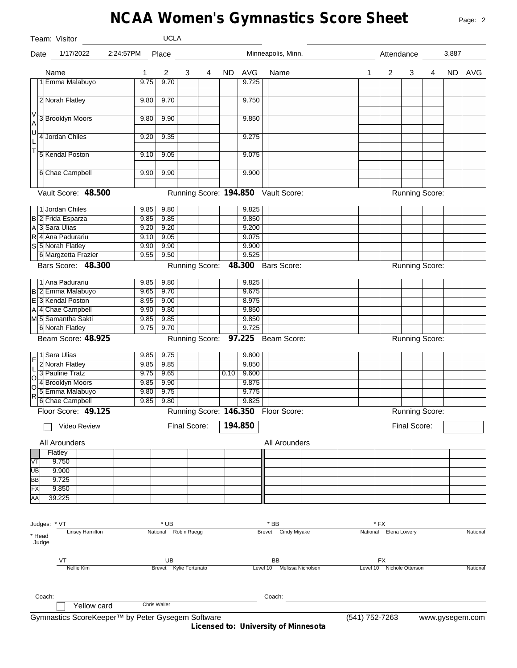## **NCAA Women's Gymnastics Score Sheet**

|                                             | Team: Visitor                   |              | <b>UCLA</b>            |              |   |      |                |                                     |   |                           |                       |   |       |          |
|---------------------------------------------|---------------------------------|--------------|------------------------|--------------|---|------|----------------|-------------------------------------|---|---------------------------|-----------------------|---|-------|----------|
| Date                                        | 1/17/2022                       | 2:24:57PM    | Place                  |              |   |      |                | Minneapolis, Minn.                  |   | Attendance                |                       |   | 3,887 |          |
|                                             | Name                            | 1            | $\overline{2}$         | 3            | 4 | ND   | AVG            | Name                                | 1 | $\overline{2}$            | 3                     | 4 |       | ND AVG   |
|                                             | 1 Emma Malabuyo                 | 9.75         | 9.70                   |              |   |      | 9.725          |                                     |   |                           |                       |   |       |          |
|                                             |                                 |              |                        |              |   |      |                |                                     |   |                           |                       |   |       |          |
|                                             | 2 Norah Flatley                 | 9.80         | 9.70                   |              |   |      | 9.750          |                                     |   |                           |                       |   |       |          |
| V                                           | 3 Brooklyn Moors                | 9.80         | 9.90                   |              |   |      | 9.850          |                                     |   |                           |                       |   |       |          |
| A                                           |                                 |              |                        |              |   |      |                |                                     |   |                           |                       |   |       |          |
| U<br>L                                      | 4 Jordan Chiles                 | 9.20         | 9.35                   |              |   |      | 9.275          |                                     |   |                           |                       |   |       |          |
| $\bar{1}$                                   |                                 |              |                        |              |   |      |                |                                     |   |                           |                       |   |       |          |
|                                             | 5 Kendal Poston                 | 9.10         | 9.05                   |              |   |      | 9.075          |                                     |   |                           |                       |   |       |          |
|                                             |                                 |              |                        |              |   |      |                |                                     |   |                           |                       |   |       |          |
|                                             | 6 Chae Campbell                 | 9.90         | 9.90                   |              |   |      | 9.900          |                                     |   |                           |                       |   |       |          |
|                                             | Vault Score: 48.500             |              |                        |              |   |      |                | Running Score: 194.850 Vault Score: |   |                           | <b>Running Score:</b> |   |       |          |
|                                             |                                 |              |                        |              |   |      |                |                                     |   |                           |                       |   |       |          |
|                                             | 1 Jordan Chiles                 | 9.85         | 9.80                   |              |   |      | 9.825          |                                     |   |                           |                       |   |       |          |
|                                             | B 2 Frida Esparza               | 9.85         | 9.85                   |              |   |      | 9.850          |                                     |   |                           |                       |   |       |          |
|                                             | A 3 Sara Ulias                  | 9.20         | 9.20                   |              |   |      | 9.200          |                                     |   |                           |                       |   |       |          |
|                                             | R 4 Ana Padurariu               | 9.10         | 9.05                   |              |   |      | 9.075          |                                     |   |                           |                       |   |       |          |
|                                             | S 5 Norah Flatley               | 9.90         | 9.90                   |              |   |      | 9.900          |                                     |   |                           |                       |   |       |          |
|                                             | 6 Margzetta Frazier             | 9.55         | 9.50                   |              |   |      | 9.525          |                                     |   |                           |                       |   |       |          |
|                                             | Bars Score: 48.300              |              |                        |              |   |      |                | Running Score: 48.300 Bars Score:   |   |                           | <b>Running Score:</b> |   |       |          |
|                                             | 1 Ana Padurariu                 | 9.85         | 9.80                   |              |   |      | 9.825          |                                     |   |                           |                       |   |       |          |
|                                             | B 2 Emma Malabuyo               | 9.65         | 9.70                   |              |   |      | 9.675          |                                     |   |                           |                       |   |       |          |
|                                             | E 3 Kendal Poston               | 8.95         | 9.00                   |              |   |      | 8.975          |                                     |   |                           |                       |   |       |          |
|                                             | A 4 Chae Campbell               | 9.90         | 9.80                   |              |   |      | 9.850          |                                     |   |                           |                       |   |       |          |
|                                             | M5 Samantha Sakti               | 9.85         | 9.85                   |              |   |      | 9.850          |                                     |   |                           |                       |   |       |          |
|                                             | 6 Norah Flatley                 | 9.75         | 9.70                   |              |   |      | 9.725          |                                     |   |                           |                       |   |       |          |
|                                             | Beam Score: 48.925              |              |                        |              |   |      |                | Running Score: 97.225 Beam Score:   |   |                           | <b>Running Score:</b> |   |       |          |
|                                             |                                 |              |                        |              |   |      |                |                                     |   |                           |                       |   |       |          |
| F                                           | 1 Sara Ulias<br>2 Norah Flatley | 9.85<br>9.85 | 9.75<br>9.85           |              |   |      | 9.800<br>9.850 |                                     |   |                           |                       |   |       |          |
|                                             | 3 Pauline Tratz                 | 9.75         | 9.65                   |              |   | 0.10 | 9.600          |                                     |   |                           |                       |   |       |          |
| $\begin{bmatrix} 1 \\ 0 \\ 0 \end{bmatrix}$ | 4 Brooklyn Moors                | 9.85         | 9.90                   |              |   |      | 9.875          |                                     |   |                           |                       |   |       |          |
|                                             | 5 Emma Malabuyo                 | 9.80         | 9.75                   |              |   |      | 9.775          |                                     |   |                           |                       |   |       |          |
| $\overline{R}$                              | 6 Chae Campbell                 | 9.85         | 9.80                   |              |   |      | 9.825          |                                     |   |                           |                       |   |       |          |
|                                             | Floor Score: 49.125             |              |                        |              |   |      |                | Running Score: 146.350 Floor Score: |   |                           | Running Score:        |   |       |          |
|                                             |                                 |              |                        |              |   |      |                |                                     |   |                           |                       |   |       |          |
|                                             | Video Review                    |              |                        | Final Score: |   |      | 194.850        |                                     |   |                           | Final Score:          |   |       |          |
|                                             | All Arounders                   |              |                        |              |   |      |                | All Arounders                       |   |                           |                       |   |       |          |
|                                             | Flatley                         |              |                        |              |   |      |                |                                     |   |                           |                       |   |       |          |
| VT                                          | 9.750                           |              |                        |              |   |      |                |                                     |   |                           |                       |   |       |          |
| UB                                          | 9.900                           |              |                        |              |   |      |                |                                     |   |                           |                       |   |       |          |
| BB                                          | 9.725                           |              |                        |              |   |      |                |                                     |   |                           |                       |   |       |          |
| FX                                          | 9.850                           |              |                        |              |   |      |                |                                     |   |                           |                       |   |       |          |
| AA                                          | 39.225                          |              |                        |              |   |      |                |                                     |   |                           |                       |   |       |          |
|                                             |                                 |              |                        |              |   |      |                |                                     |   |                           |                       |   |       |          |
|                                             | Judges: * VT                    |              | * UB                   |              |   |      |                | $*$ BB                              |   | * FX                      |                       |   |       |          |
| * Head                                      | <b>Linsey Hamilton</b>          |              | National Robin Ruegg   |              |   |      |                | Brevet Cindy Miyake                 |   | National Elena Lowery     |                       |   |       | National |
|                                             | Judge                           |              |                        |              |   |      |                |                                     |   |                           |                       |   |       |          |
|                                             | VT                              |              | UB                     |              |   |      |                | BB                                  |   | FX                        |                       |   |       |          |
|                                             | <b>Nellie Kim</b>               |              | Brevet Kylie Fortunato |              |   |      |                | Level 10 Melissa Nicholson          |   | Level 10 Nichole Otterson |                       |   |       | National |
|                                             |                                 |              |                        |              |   |      |                |                                     |   |                           |                       |   |       |          |
|                                             |                                 |              |                        |              |   |      |                |                                     |   |                           |                       |   |       |          |
|                                             | Coach:                          |              | <b>Chris Waller</b>    |              |   |      |                | Coach:                              |   |                           |                       |   |       |          |
|                                             | Yellow card                     |              |                        |              |   |      |                |                                     |   |                           |                       |   |       |          |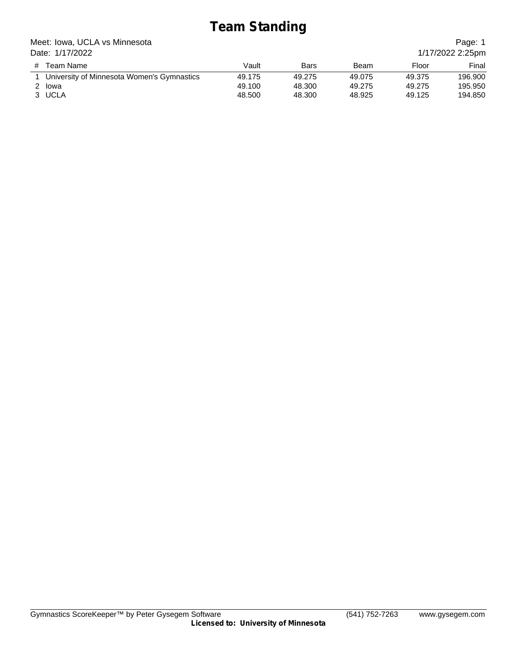## **Team Standing**

Meet: Iowa, UCLA vs Minnesota Date: 1/17/2022

|      |      |       | Page: 1          |
|------|------|-------|------------------|
|      |      |       | 1/17/2022 2:25pm |
| Rare | R≙am | Floor | Final            |

| # Team Name                                | Vault  | Bars   | Beam   | Floor  | Final   |
|--------------------------------------------|--------|--------|--------|--------|---------|
| University of Minnesota Women's Gymnastics | 49.175 | 49.275 | 49.075 | 49.375 | 196.900 |
| 2 Iowa                                     | 49.100 | 48.300 | 49.275 | 49.275 | 195.950 |
| 3 UCLA                                     | 48.500 | 48.300 | 48.925 | 49.125 | 194.850 |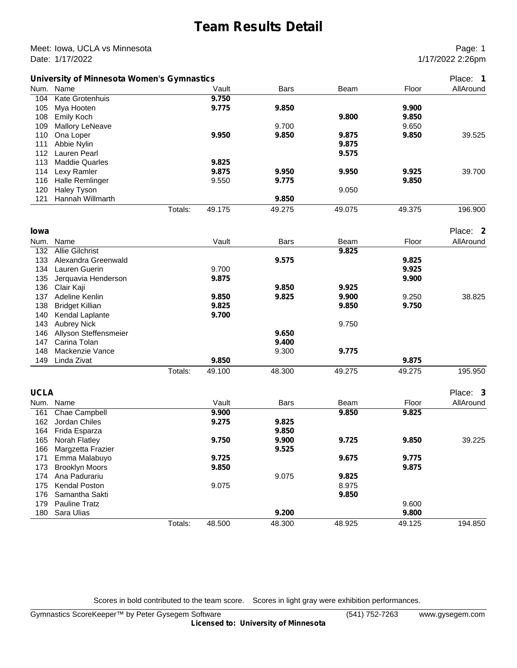### **Team Results Detail**

Meet: Iowa, UCLA vs Minnesota **Page: 1** Network 2012 1 Date: 1/17/2022 2:26pm

|             | University of Minnesota Women's Gymnastics |         |        |             |        |        | Place: 1  |
|-------------|--------------------------------------------|---------|--------|-------------|--------|--------|-----------|
|             | Num. Name                                  |         | Vault  | <b>Bars</b> | Beam   | Floor  | AllAround |
| 104         | <b>Kate Grotenhuis</b>                     |         | 9.750  |             |        |        |           |
| 105         | Mya Hooten                                 |         | 9.775  | 9.850       |        | 9.900  |           |
| 108         | <b>Emily Koch</b>                          |         |        |             | 9.800  | 9.850  |           |
| 109         | <b>Mallory LeNeave</b>                     |         |        | 9.700       |        | 9.650  |           |
| 110         | Ona Loper                                  |         | 9.950  | 9.850       | 9.875  | 9.850  | 39.525    |
| 111         | Abbie Nylin                                |         |        |             | 9.875  |        |           |
|             | 112 Lauren Pearl                           |         |        |             | 9.575  |        |           |
| 113         | <b>Maddie Quarles</b>                      |         | 9.825  |             |        |        |           |
|             | 114 Lexy Ramler                            |         | 9.875  | 9.950       | 9.950  | 9.925  | 39.700    |
|             | 116 Halle Remlinger                        |         | 9.550  | 9.775       |        | 9.850  |           |
| 120         | <b>Haley Tyson</b>                         |         |        |             | 9.050  |        |           |
| 121         | Hannah Willmarth                           |         |        | 9.850       |        |        |           |
|             |                                            | Totals: | 49.175 | 49.275      | 49.075 | 49.375 | 196.900   |
|             |                                            |         |        |             |        |        |           |
| lowa        |                                            |         |        |             |        |        | Place: 2  |
|             |                                            |         |        | Bars        |        | Floor  |           |
|             | Num. Name                                  |         | Vault  |             | Beam   |        | AllAround |
| 132         | <b>Allie Gilchrist</b>                     |         |        |             | 9.825  |        |           |
| 133         | Alexandra Greenwald                        |         |        | 9.575       |        | 9.825  |           |
| 134         | Lauren Guerin                              |         | 9.700  |             |        | 9.925  |           |
| 135         | Jerquavia Henderson                        |         | 9.875  |             |        | 9.900  |           |
|             | 136 Clair Kaji                             |         |        | 9.850       | 9.925  |        |           |
|             | 137 Adeline Kenlin                         |         | 9.850  | 9.825       | 9.900  | 9.250  | 38.825    |
| 138         | <b>Bridget Killian</b>                     |         | 9.825  |             | 9.850  | 9.750  |           |
| 140         | Kendal Laplante                            |         | 9.700  |             |        |        |           |
| 143         | <b>Aubrey Nick</b>                         |         |        |             | 9.750  |        |           |
|             | 146 Allyson Steffensmeier                  |         |        | 9.650       |        |        |           |
| 147         | Carina Tolan                               |         |        | 9.400       |        |        |           |
| 148         | Mackenzie Vance                            |         |        | 9.300       | 9.775  |        |           |
| 149         | Linda Zivat                                |         | 9.850  |             |        | 9.875  |           |
|             |                                            | Totals: | 49.100 | 48.300      | 49.275 | 49.275 | 195.950   |
|             |                                            |         |        |             |        |        |           |
| <b>UCLA</b> |                                            |         |        |             |        |        | Place: 3  |
|             | Num. Name                                  |         | Vault  | <b>Bars</b> | Beam   | Floor  | AllAround |
|             | 161 Chae Campbell                          |         | 9.900  |             | 9.850  | 9.825  |           |
| 162         | Jordan Chiles                              |         | 9.275  | 9.825       |        |        |           |
| 164         | Frida Esparza                              |         |        | 9.850       |        |        |           |
| 165         | Norah Flatley                              |         | 9.750  | 9.900       | 9.725  | 9.850  | 39.225    |
| 166         | Margzetta Frazier                          |         |        | 9.525       |        |        |           |
| 171         | Emma Malabuyo                              |         | 9.725  |             | 9.675  | 9.775  |           |
| 173         | <b>Brooklyn Moors</b>                      |         | 9.850  |             |        | 9.875  |           |
| 174         | Ana Padurariu                              |         |        | 9.075       | 9.825  |        |           |
| 175         | Kendal Poston                              |         | 9.075  |             | 8.975  |        |           |
| 176         | Samantha Sakti                             |         |        |             | 9.850  |        |           |
| 179         | Pauline Tratz                              |         |        |             |        | 9.600  |           |
| 180         | Sara Ulias                                 |         |        | 9.200       |        | 9.800  |           |
|             |                                            | Totals: | 48.500 | 48.300      | 48.925 | 49.125 | 194.850   |

Scores in bold contributed to the team score. Scores in light gray were exhibition performances.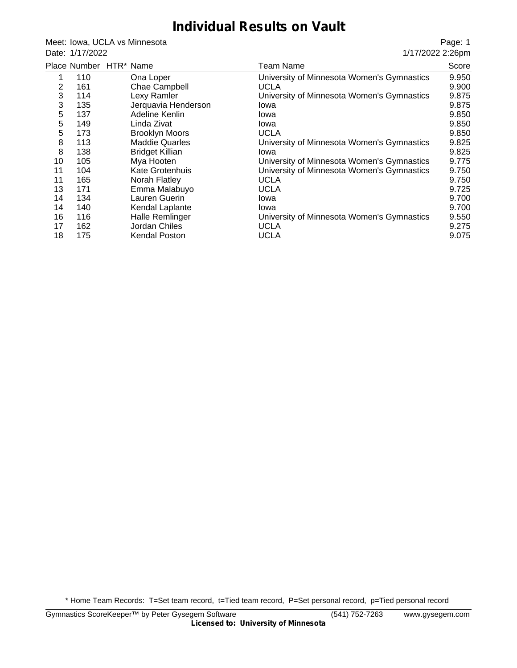#### **Individual Results on Vault**

Meet: Iowa, UCLA vs Minnesota Date: 1/17/2022

Page: 1 1/17/2022 2:26pm

|    |     | Place Number HTR* Name | <b>Team Name</b>                           | Score |
|----|-----|------------------------|--------------------------------------------|-------|
|    | 110 | Ona Loper              | University of Minnesota Women's Gymnastics | 9.950 |
| 2  | 161 | Chae Campbell          | <b>UCLA</b>                                | 9.900 |
| 3  | 114 | Lexy Ramler            | University of Minnesota Women's Gymnastics | 9.875 |
| 3  | 135 | Jerquavia Henderson    | Iowa                                       | 9.875 |
| 5  | 137 | Adeline Kenlin         | lowa                                       | 9.850 |
| 5  | 149 | Linda Zivat            | Iowa                                       | 9.850 |
| 5  | 173 | <b>Brooklyn Moors</b>  | <b>UCLA</b>                                | 9.850 |
| 8  | 113 | <b>Maddie Quarles</b>  | University of Minnesota Women's Gymnastics | 9.825 |
| 8  | 138 | <b>Bridget Killian</b> | Iowa                                       | 9.825 |
| 10 | 105 | Mya Hooten             | University of Minnesota Women's Gymnastics | 9.775 |
| 11 | 104 | Kate Grotenhuis        | University of Minnesota Women's Gymnastics | 9.750 |
| 11 | 165 | Norah Flatley          | <b>UCLA</b>                                | 9.750 |
| 13 | 171 | Emma Malabuyo          | <b>UCLA</b>                                | 9.725 |
| 14 | 134 | Lauren Guerin          | Iowa                                       | 9.700 |
| 14 | 140 | Kendal Laplante        | Iowa                                       | 9.700 |
| 16 | 116 | Halle Remlinger        | University of Minnesota Women's Gymnastics | 9.550 |
| 17 | 162 | Jordan Chiles          | <b>UCLA</b>                                | 9.275 |
| 18 | 175 | <b>Kendal Poston</b>   | <b>UCLA</b>                                | 9.075 |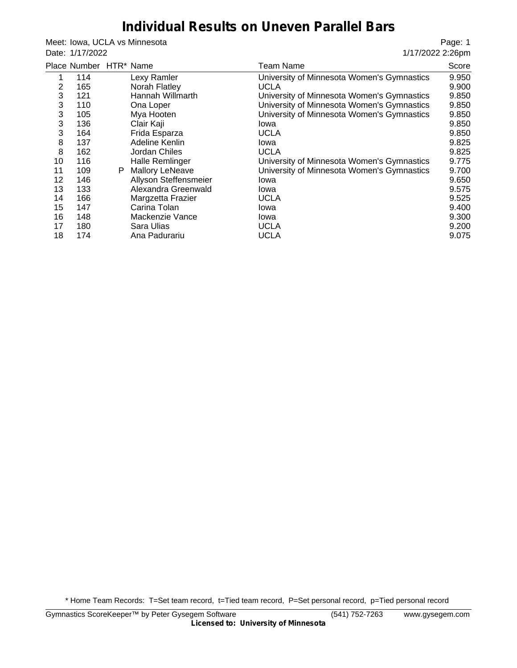#### **Individual Results on Uneven Parallel Bars**

Meet: Iowa, UCLA vs Minnesota Date: 1/17/2022

Page: 1 1/17/2022 2:26pm

|            | Place Number HTR* Name |   |                        |             | Team Name                                  | Score |
|------------|------------------------|---|------------------------|-------------|--------------------------------------------|-------|
| 1          | 114                    |   | Lexy Ramler            |             | University of Minnesota Women's Gymnastics | 9.950 |
| 2          | 165                    |   | Norah Flatley          | UCLA        |                                            | 9.900 |
| 3          | 121                    |   | Hannah Willmarth       |             | University of Minnesota Women's Gymnastics | 9.850 |
| 3          | 110                    |   | Ona Loper              |             | University of Minnesota Women's Gymnastics | 9.850 |
| 3          | 105                    |   | Mya Hooten             |             | University of Minnesota Women's Gymnastics | 9.850 |
| $\sqrt{3}$ | 136                    |   | Clair Kaji             | Iowa        |                                            | 9.850 |
| 3          | 164                    |   | Frida Esparza          | <b>UCLA</b> |                                            | 9.850 |
| 8          | 137                    |   | Adeline Kenlin         | Iowa        |                                            | 9.825 |
| 8          | 162                    |   | Jordan Chiles          | <b>UCLA</b> |                                            | 9.825 |
| 10         | 116                    |   | <b>Halle Remlinger</b> |             | University of Minnesota Women's Gymnastics | 9.775 |
| 11         | 109                    | P | <b>Mallory LeNeave</b> |             | University of Minnesota Women's Gymnastics | 9.700 |
| 12         | 146                    |   | Allyson Steffensmeier  | Iowa        |                                            | 9.650 |
| 13         | 133                    |   | Alexandra Greenwald    | Iowa        |                                            | 9.575 |
| 14         | 166                    |   | Margzetta Frazier      | <b>UCLA</b> |                                            | 9.525 |
| 15         | 147                    |   | Carina Tolan           | lowa        |                                            | 9.400 |
| 16         | 148                    |   | Mackenzie Vance        | Iowa        |                                            | 9.300 |
| 17         | 180                    |   | Sara Ulias             | <b>UCLA</b> |                                            | 9.200 |
| 18         | 174                    |   | Ana Padurariu          | <b>UCLA</b> |                                            | 9.075 |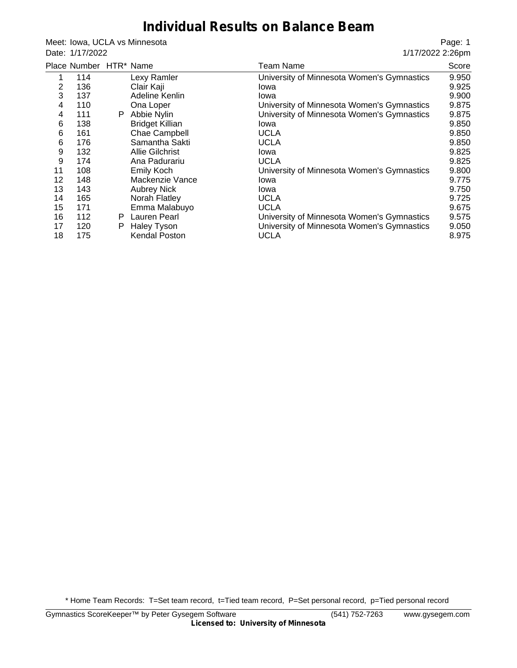#### **Individual Results on Balance Beam**

Meet: Iowa, UCLA vs Minnesota Date: 1/17/2022

Page: 1 1/17/2022 2:26pm

|     |    |                        | Team Name                                     | Score |
|-----|----|------------------------|-----------------------------------------------|-------|
| 114 |    | Lexy Ramler            | University of Minnesota Women's Gymnastics    | 9.950 |
| 136 |    | Clair Kaji             | Iowa                                          | 9.925 |
| 137 |    | Adeline Kenlin         | Iowa                                          | 9.900 |
| 110 |    | Ona Loper              | University of Minnesota Women's Gymnastics    | 9.875 |
| 111 | P. | Abbie Nylin            | University of Minnesota Women's Gymnastics    | 9.875 |
| 138 |    | <b>Bridget Killian</b> | Iowa                                          | 9.850 |
| 161 |    | Chae Campbell          | <b>UCLA</b>                                   | 9.850 |
| 176 |    | Samantha Sakti         | <b>UCLA</b>                                   | 9.850 |
| 132 |    | <b>Allie Gilchrist</b> | Iowa                                          | 9.825 |
| 174 |    | Ana Padurariu          | <b>UCLA</b>                                   | 9.825 |
| 108 |    | Emily Koch             | University of Minnesota Women's Gymnastics    | 9.800 |
| 148 |    | Mackenzie Vance        | Iowa                                          | 9.775 |
| 143 |    | <b>Aubrey Nick</b>     | lowa                                          | 9.750 |
| 165 |    | Norah Flatley          | <b>UCLA</b>                                   | 9.725 |
| 171 |    | Emma Malabuyo          | <b>UCLA</b>                                   | 9.675 |
| 112 | P. |                        | University of Minnesota Women's Gymnastics    | 9.575 |
| 120 | P  | <b>Haley Tyson</b>     | University of Minnesota Women's Gymnastics    | 9.050 |
| 175 |    | <b>Kendal Poston</b>   | <b>UCLA</b>                                   | 8.975 |
|     |    |                        | Place Number HTR* Name<br><b>Lauren Pearl</b> |       |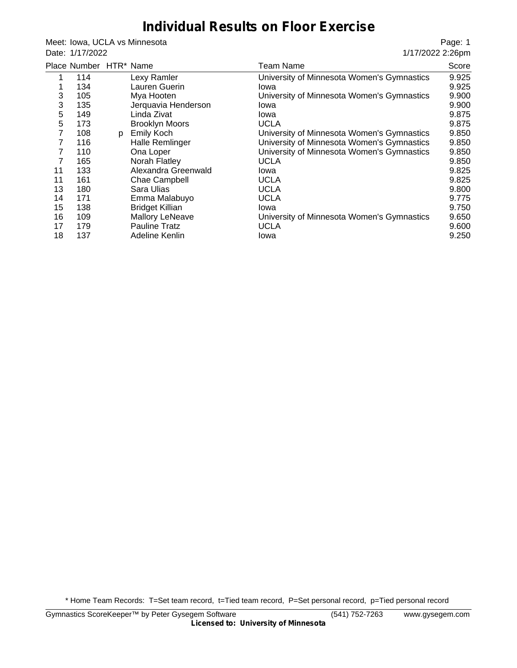#### **Individual Results on Floor Exercise**

Meet: Iowa, UCLA vs Minnesota Date: 1/17/2022

Page: 1 1/17/2022 2:26pm

|    | Place Number HTR* Name |   |                        | Team Name                                  | Score |
|----|------------------------|---|------------------------|--------------------------------------------|-------|
| 1  | 114                    |   | Lexy Ramler            | University of Minnesota Women's Gymnastics | 9.925 |
| ٠  | 134                    |   | Lauren Guerin          | Iowa                                       | 9.925 |
| 3  | 105                    |   | Mya Hooten             | University of Minnesota Women's Gymnastics | 9.900 |
| 3  | 135                    |   | Jerquavia Henderson    | Iowa                                       | 9.900 |
| 5  | 149                    |   | Linda Zivat            | Iowa                                       | 9.875 |
| 5  | 173                    |   | <b>Brooklyn Moors</b>  | <b>UCLA</b>                                | 9.875 |
| 7  | 108                    | p | <b>Emily Koch</b>      | University of Minnesota Women's Gymnastics | 9.850 |
|    | 116                    |   | Halle Remlinger        | University of Minnesota Women's Gymnastics | 9.850 |
| 7  | 110                    |   | Ona Loper              | University of Minnesota Women's Gymnastics | 9.850 |
| 7  | 165                    |   | Norah Flatley          | <b>UCLA</b>                                | 9.850 |
| 11 | 133                    |   | Alexandra Greenwald    | Iowa                                       | 9.825 |
| 11 | 161                    |   | Chae Campbell          | <b>UCLA</b>                                | 9.825 |
| 13 | 180                    |   | Sara Ulias             | <b>UCLA</b>                                | 9.800 |
| 14 | 171                    |   | Emma Malabuyo          | <b>UCLA</b>                                | 9.775 |
| 15 | 138                    |   | <b>Bridget Killian</b> | Iowa                                       | 9.750 |
| 16 | 109                    |   | <b>Mallory LeNeave</b> | University of Minnesota Women's Gymnastics | 9.650 |
| 17 | 179                    |   | <b>Pauline Tratz</b>   | <b>UCLA</b>                                | 9.600 |
| 18 | 137                    |   | Adeline Kenlin         | Iowa                                       | 9.250 |